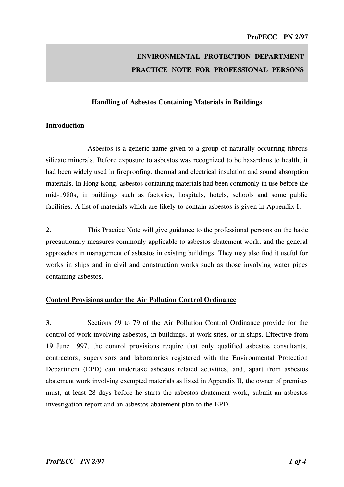# ENVIRONMENTAL PROTECTION DEPARTMENT PRACTICE NOTE FOR PROFESSIONAL PERSONS

### Handling of Asbestos Containing Materials in Buildings

#### Introduction

Asbestos is a generic name given to a group of naturally occurring fibrous silicate minerals. Before exposure to asbestos was recognized to be hazardous to health, it had been widely used in fireproofing, thermal and electrical insulation and sound absorption materials. 1n Hong Kong, asbestos containing materials had been commonly in use before the mid-1980s, in buildings such as factories, hospitals, hotels, schools and some public facilities. A list of materials which are likely to contain asbestos is given in Appendix 1.

2. This Practice Note will give guidance to the professional persons on the basic precautionary measures commonly applicable to asbestos abatement work, and the general approaches in management of asbestos in existing buildings. They may also find it useful for works in ships and in civil and construction works such as those involving water pipes containing asbestos.

#### Control Provisions under the Air Pollution Control Ordinance

3. Sections 69 to 79 of the Air Pollution Control Ordinance provide for the control of work involving asbestos, in buildings, at work sites, or in ships. Effective from 19 June 1997, the control provisions require that only qualified asbestos consultants, contractors, supervisors and laboratories registered with the Environmental Protection Department (EPD) can undertake asbestos related activities, and, apart from asbestos abatement work involving exempted materials as listed in Appendix 11, the owner of premises must, at least 28 days before he starts the asbestos abatement work, submit an asbestos investigation report and an asbestos abatement plan to the EPD.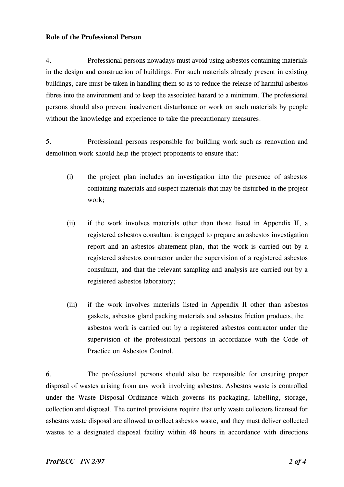#### Role of the Professional Person

4. Professional persons nowadays must avoid using asbestos containing materials in the design and construction of buildings. For such materials already present in existing buildings, care must be taken in handling them so as to reduce the release of harmful asbestos fibres into the environment and to keep the associated hazard to a minimum. The professional persons should also prevent inadvertent disturbance or work on such materials by people without the knowledge and experience to take the precautionary measures.

5. Professional persons responsible for building work such as renovation and demolition work should help the project proponents to ensure that:

- (i) the project plan includes an investigation into the presence of asbestos containing materials and suspect materials that may be disturbed in the project work;
- (ii) if the work involves materials other than those listed in Appendix 11, a registered asbestos consultant is engaged to prepare an asbestos investigation report and an asbestos abatement plan, that the work is carried out by a registered asbestos contractor under the supervision of a registered asbestos consultant, and that the relevant sampling and analysis are carried out by a registered asbestos laboratory;
- (iii) if the work involves materials listed in Appendix 11 other than asbestos gaskets, asbestos gland packing materials and asbestos friction products, the asbestos work is carried out by a registered asbestos contractor under the supervision of the professional persons in accordance with the Code of Practice on Asbestos Control.

6. The professional persons should also be responsible for ensuring proper disposal of wastes arising from any work involving asbestos. Asbestos waste is controlled under the Waste Disposal Ordinance which governs its packaging, labelling, storage, collection and disposal. The control provisions require that only waste collectors licensed for asbestos waste disposal are allowed to collect asbestos waste, and they must deliver collected wastes to a designated disposal facility within 48 hours in accordance with directions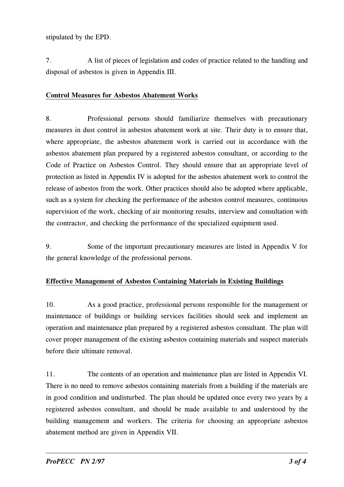stipulated by the EPD.

7. A list of pieces of legislation and codes of practice related to the handling and disposal of asbestos is given in Appendix 111.

## Control Measures for Asbestos Abatement Works

8. Professional persons should familiarize themselves with precautionary measures in dust control in asbestos abatement work at site. Their duty is to ensure that, where appropriate, the asbestos abatement work is carried out in accordance with the asbestos abatement plan prepared by a registered asbestos consultant, or according to the Code of Practice on Asbestos Control. They should ensure that an appropriate level of protection as listed in Appendix 1V is adopted for the asbestos abatement work to control the release of asbestos from the work. Other practices should also be adopted where applicable, such as a system for checking the performance of the asbestos control measures, continuous supervision of the work, checking of air monitoring results, interview and consultation with the contractor, and checking the performance of the specialized equipment used.

9. Some of the important precautionary measures are listed in Appendix V for the general knowledge of the professional persons.

## Effective Management of Asbestos Containing Materials in Existing Buildings

10. As a good practice, professional persons responsible for the management or maintenance of buildings or building services facilities should seek and implement an operation and maintenance plan prepared by a registered asbestos consultant. The plan will cover proper management of the existing asbestos containing materials and suspect materials before their ultimate removal.

11. The contents of an operation and maintenance plan are listed in Appendix V1. There is no need to remove asbestos containing materials from a building if the materials are in good condition and undisturbed. The plan should be updated once every two years by a registered asbestos consultant, and should be made available to and understood by the building management and workers. The criteria for choosing an appropriate asbestos abatement method are given in Appendix V11.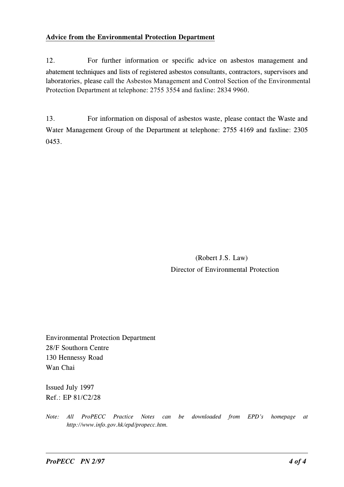## Advice from the Environmental Protection Department

12. For further information or specific advice on asbestos management and abatement techniques and lists of registered asbestos consultants, contractors, supervisors and laboratories, please call the Asbestos Management and Control Section of the Environmental Protection Department at telephone: 2755 3554 and faxline: 2834 9960.

13. For information on disposal of asbestos waste, please contact the Waste and Water Management Group of the Department at telephone: 2755 4169 and faxline: 2305 0453.

> (Robert J.S. Law) Director of Environmental Protection

Environmental Protection Department 28/F Southorn Centre 130 Hennessy Road Wan Chai

1ssued July 1997 Ref.: EP 81/C2/28

Note: All ProPECC Practice Notes can be downloaded from EPD's homepage at http://www.info.gov.hk/epd/propecc.htm.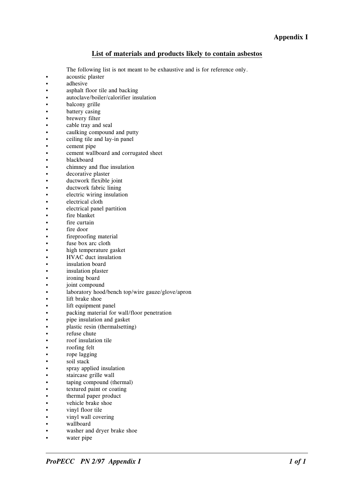#### List of materials and products likely to contain asbestos

- The following list is not meant to be exhaustive and is for reference only.
- acoustic plaster
- • •adhesive
- •asphalt floor tile and backing
- •autoclave/boiler/calorifier insulation
- •balcony grille
- •battery casing
- •brewery filter
- •<br>• cable tray and seal
- caulking compound and putty
- ••ceiling tile and lay-in panel
- •cement pipe
- •cement wallboard and corrugated sheet
- blackboard
- •chimney and flue insulation
- •decorative plaster
- •ductwork flexible joint
- •ductwork fabric lining
- •electric wiring insulation
- •electrical cloth
- ••electrical panel partition
- •fire blanket
- •fire curtain
- •fire door
- •fireproofing material
- •fuse box arc cloth
- •high temperature gasket
- •HVAC duct insulation
- •insulation board
- •insulation plaster
- •ironing board
- •joint compound
- •laboratory hood/bench top/wire gauze/glove/apron
- •lift brake shoe
- lift equipment panel
- •packing material for wall/floor penetration
- •pipe insulation and gasket
- •plastic resin (thermalsetting)
- •refuse chute
- •roof insulation tile
- •roofing felt
- •rope lagging
- •soil stack
- •spray applied insulation
- •staircase grille wall
- •taping compound (thermal)
- •textured paint or coating
- •thermal paper product
- •vehicle brake shoe
- •vinyl floor tile
- •vinyl wall covering
- •wallboard
- •washer and dryer brake shoe
- water pipe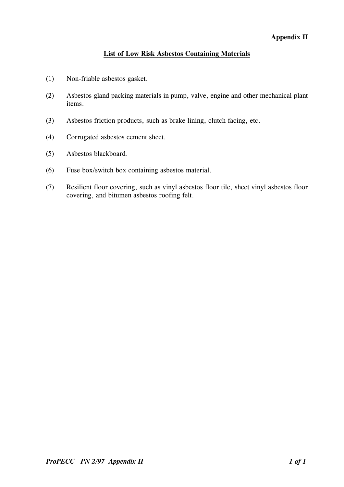## Appendis II

## List of Low Risk Asbestos Containing Materials

- (1) Non-friable asbestos gasket.
- (2) Asbestos gland packing materials in pump, valve, engine and other mechanical plant items.
- (3) Asbestos friction products, such as brake lining, clutch facing, etc.
- (4) Corrugated asbestos cement sheet.
- (5) Asbestos blackboard.
- (6) Fuse box/switch box containing asbestos material.
- (7) Resilient floor covering, such as vinyl asbestos floor tile, sheet vinyl asbestos floor covering, and bitumen asbestos roofing felt.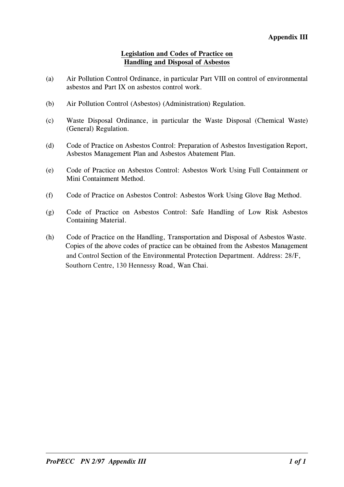## Legislation and Codes of Practice on Handlin� and Disposal of Asbestos

- (a) Air Pollution Control Ordinance, in particular Part V111 on control of environmental asbestos and Part 1X on asbestos control work.
- (b) Air Pollution Control (Asbestos) (Administration) Regulation.
- (c) Waste Disposal Ordinance, in particular the Waste Disposal (Chemical Waste) (General) Regulation.
- (d) Code of Practice on Asbestos Control: Preparation of Asbestos 1nvestigation Report, Asbestos Management Plan and Asbestos Abatement Plan.
- (e) Code of Practice on Asbestos Control: Asbestos Work Using Full Containment or Mini Containment Method.
- (f) Code of Practice on Asbestos Control: Asbestos Work Using Glove Bag Method.
- (g) Code of Practice on Asbestos Control: Safe Handling of Low Risk Asbestos Containing Material.
- (h) Code of Practice on the Handling, Transportation and Disposal of Asbestos Waste. Copies of the above codes of practice can be obtained from the Asbestos Management and Control Section of the Environmental Protection Department. Address: 28/F, Southorn Centre, 130 Hennessy Road, Wan Chai.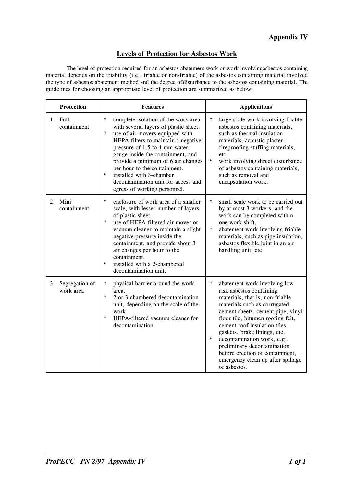## Appendis IV

#### Levels of Protection for Asbestos Work

The level of protection required for an asbestos abatement work or work involving asbestos containing material depends on the friability (i.e., friable or non-friable) of the asbestos containing material involved the type of asbestos abatement method and the degree of disturbance to the asbestos containing material. The guidelines for choosing an appropriate level of protection are summarized as below:

| <b>Protection</b>                 | <b>Features</b>                                                                                                                                                                                                                                                                                                                                                                                                                     | <b>Applications</b>                                                                                                                                                                                                                                                                                                                                                                                                                              |  |
|-----------------------------------|-------------------------------------------------------------------------------------------------------------------------------------------------------------------------------------------------------------------------------------------------------------------------------------------------------------------------------------------------------------------------------------------------------------------------------------|--------------------------------------------------------------------------------------------------------------------------------------------------------------------------------------------------------------------------------------------------------------------------------------------------------------------------------------------------------------------------------------------------------------------------------------------------|--|
| 1. Full<br>containment            | $\ast$<br>complete isolation of the work area<br>with several layers of plastic sheet.<br>$\ast$<br>use of air movers equipped with<br>HEPA filters to maintain a negative<br>pressure of 1.5 to 4 mm water<br>gauge inside the containment, and<br>provide a minimum of 6 air changes<br>per hour to the containment.<br>$\ast$<br>installed with 3-chamber<br>decontamination unit for access and<br>egress of working personnel. | *<br>large scale work involving friable<br>asbestos containing materials,<br>such as thermal insulation<br>materials, acoustic plaster,<br>fireproofing stuffing materials,<br>etc.<br>$\ast$<br>work involving direct disturbance<br>of asbestos containing materials,<br>such as removal and<br>encapsulation work.                                                                                                                            |  |
| 2. Mini<br>containment            | $\ast$<br>enclosure of work area of a smaller<br>scale, with lesser number of layers<br>of plastic sheet.<br>$\ast$<br>use of HEPA-filtered air mover or<br>vacuum cleaner to maintain a slight<br>negative pressure inside the<br>containment, and provide about 3<br>air changes per hour to the<br>containment.<br>$\ast$<br>installed with a 2-chambered<br>decontamination unit.                                               | $\ast$<br>small scale work to be carried out<br>by at most 3 workers, and the<br>work can be completed within<br>one work shift.<br>$\ast$<br>abatement work involving friable<br>materials, such as pipe insulation,<br>asbestos flexible joint in an air<br>handling unit, etc.                                                                                                                                                                |  |
| Segregation of<br>3.<br>work area | *<br>physical barrier around the work<br>area.<br>$\ast$<br>2 or 3-chambered decontamination<br>unit, depending on the scale of the<br>work.<br>$\ast$<br>HEPA-filtered vacuum cleaner for<br>decontamination.                                                                                                                                                                                                                      | $\ast$<br>abatement work involving low<br>risk asbestos containing<br>materials, that is, non-friable<br>materials such as corrugated<br>cement sheets, cement pipe, vinyl<br>floor tile, bitumen roofing felt,<br>cement roof insulation tiles,<br>gaskets, brake linings, etc.<br>$\ast$<br>decontamination work, e.g.,<br>preliminary decontamination<br>before erection of containment,<br>emergency clean up after spillage<br>of asbestos. |  |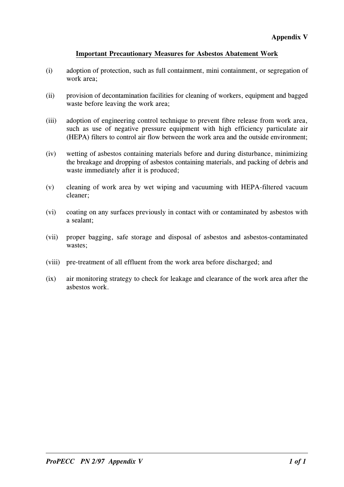## Important Precautionary Measures for Asbestos Abatement Work

- (i) adoption of protection, such as full containment, mini containment, or segregation of work area;
- (ii) provision of decontamination facilities for cleaning of workers, equipment and bagged waste before leaving the work area;
- (iii) adoption of engineering control technique to prevent fibre release from work area, such as use of negative pressure equipment with high efficiency particulate air (HEPA) filters to control air flow between the work area and the outside environment;
- (iv) wetting of asbestos containing materials before and during disturbance, minimizing the breakage and dropping of asbestos containing materials, and packing of debris and waste immediately after it is produced;
- (v) cleaning of work area by wet wiping and vacuuming with HEPA-filtered vacuum cleaner;
- (vi) coating on any surfaces previously in contact with or contaminated by asbestos with a sealant;
- (vii) proper bagging, safe storage and disposal of asbestos and asbestos-contaminated wastes;
- (viii) pre-treatment of all effluent from the work area before discharged; and
- (ix) air monitoring strategy to check for leakage and clearance of the work area after the asbestos work.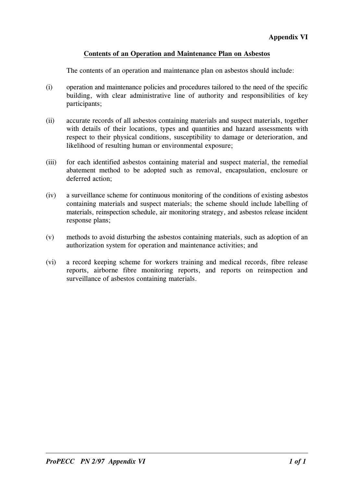## Contents of an Operation and Maintenance Plan on Asbestos

The contents of an operation and maintenance plan on asbestos should include:

- (i) operation and maintenance policies and procedures tailored to the need of the specific building, with clear administrative line of authority and responsibilities of key participants;
- (ii) accurate records of all asbestos containing materials and suspect materials, together with details of their locations, types and quantities and hazard assessments with respect to their physical conditions, susceptibility to damage or deterioration, and likelihood of resulting human or environmental exposure;
- (iii) for each identified asbestos containing material and suspect material, the remedial abatement method to be adopted such as removal, encapsulation, enclosure or deferred action;
- (iv) a surveillance scheme for continuous monitoring of the conditions of existing asbestos containing materials and suspect materials; the scheme should include labelling of materials, reinspection schedule, air monitoring strategy, and asbestos release incident response plans;
- (v) methods to avoid disturbing the asbestos containing materials, such as adoption of an authorization system for operation and maintenance activities; and
- (vi) a record keeping scheme for workers training and medical records, fibre release reports, airborne fibre monitoring reports, and reports on reinspection and surveillance of asbestos containing materials.